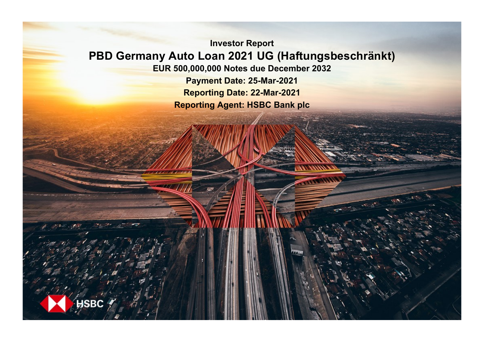**Investor Report PBD Germany Auto Loan 2021 UG (Haftungsbeschränkt) EUR 500,000,000 Notes due December 2032 Payment Date: 25-Mar-2021**

**Reporting Date: 22-Mar-2021 Reporting Agent: HSBC Bank plc**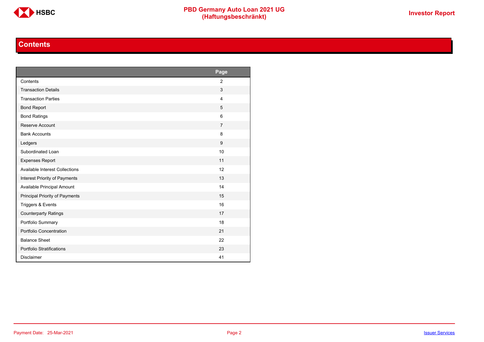

### **Contents**

<span id="page-1-0"></span>

|                                       | Page           |
|---------------------------------------|----------------|
| Contents                              | $\overline{2}$ |
| <b>Transaction Details</b>            | 3              |
| <b>Transaction Parties</b>            | $\overline{4}$ |
| <b>Bond Report</b>                    | 5              |
| <b>Bond Ratings</b>                   | 6              |
| Reserve Account                       | $\overline{7}$ |
| <b>Bank Accounts</b>                  | 8              |
| Ledgers                               | 9              |
| Subordinated Loan                     | 10             |
| <b>Expenses Report</b>                | 11             |
| <b>Available Interest Collections</b> | 12             |
| Interest Priority of Payments         | 13             |
| Available Principal Amount            | 14             |
| Principal Priority of Payments        | 15             |
| Triggers & Events                     | 16             |
| <b>Counterparty Ratings</b>           | 17             |
| Portfolio Summary                     | 18             |
| Portfolio Concentration               | 21             |
| <b>Balance Sheet</b>                  | 22             |
| Portfolio Stratifications             | 23             |
| <b>Disclaimer</b>                     | 41             |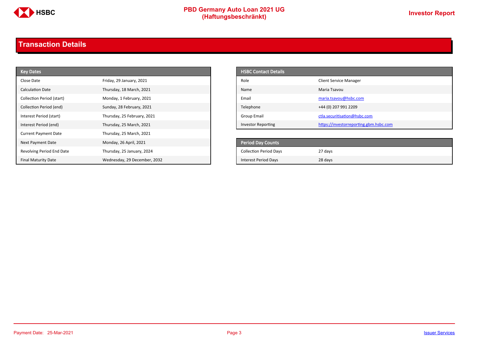

# **PBD Germany Auto Loan 2021 UG**<br>
(Haftungsbeschränkt)<br>
This area of the CHSD CHA (Haftungsbeschränkt)

### <span id="page-2-0"></span>**Transaction Details**

| <b>Key Dates</b>            |                              | <b>HSBC Contact Details</b>   |                                        |
|-----------------------------|------------------------------|-------------------------------|----------------------------------------|
| Close Date                  | Friday, 29 January, 2021     | Role                          | <b>Client Service Manager</b>          |
| <b>Calculation Date</b>     | Thursday, 18 March, 2021     | Name                          | Maria Tsavou                           |
| Collection Period (start)   | Monday, 1 February, 2021     | Email                         | maria.tsavou@hsbc.com                  |
| Collection Period (end)     | Sunday, 28 February, 2021    | Telephone                     | +44 (0) 207 991 2209                   |
| Interest Period (start)     | Thursday, 25 February, 2021  | <b>Group Email</b>            | ctla.securitisation@hsbc.com           |
| Interest Period (end)       | Thursday, 25 March, 2021     | Investor Reporting            | https://investorreporting.gbm.hsbc.com |
| <b>Current Payment Date</b> | Thursday, 25 March, 2021     |                               |                                        |
| Next Payment Date           | Monday, 26 April, 2021       | Period Day Counts             |                                        |
| Revolving Period End Date   | Thursday, 25 January, 2024   | <b>Collection Period Days</b> | 27 days                                |
| <b>Final Maturity Date</b>  | Wednesday, 29 December, 2032 | <b>Interest Period Days</b>   | 28 days                                |

| <b>HSBC Contact Details</b> |                                        |
|-----------------------------|----------------------------------------|
| Role                        | <b>Client Service Manager</b>          |
| Name                        | Maria Tsavou                           |
| Email                       | maria.tsavou@hsbc.com                  |
| Telephone                   | +44 (0) 207 991 2209                   |
| Group Email                 | ctla.securitisation@hsbc.com           |
| <b>Investor Reporting</b>   | https://investorreporting.gbm.hsbc.com |

| <b>Period Day Counts</b>      |         |
|-------------------------------|---------|
| <b>Collection Period Days</b> | 27 days |
| Interest Period Days          | 28 days |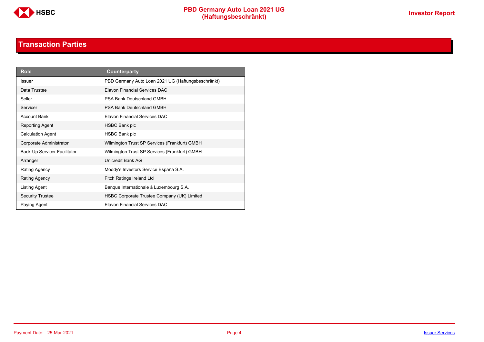

### **Transaction Parties**

<span id="page-3-0"></span>

| <b>Role</b>                  | Counterparty                                       |
|------------------------------|----------------------------------------------------|
| <b>Issuer</b>                | PBD Germany Auto Loan 2021 UG (Haftungsbeschränkt) |
| Data Trustee                 | Elavon Financial Services DAC                      |
| Seller                       | PSA Bank Deutschland GMBH                          |
| Servicer                     | <b>PSA Bank Deutschland GMBH</b>                   |
| <b>Account Bank</b>          | Elavon Financial Services DAC                      |
| Reporting Agent              | HSBC Bank plc                                      |
| <b>Calculation Agent</b>     | <b>HSBC Bank plc</b>                               |
| Corporate Administrator      | Wilmington Trust SP Services (Frankfurt) GMBH      |
| Back-Up Servicer Facilitator | Wilmington Trust SP Services (Frankfurt) GMBH      |
| Arranger                     | Unicredit Bank AG                                  |
| Rating Agency                | Moody's Investors Service España S.A.              |
| Rating Agency                | Fitch Ratings Ireland Ltd                          |
| Listing Agent                | Banque Internationale à Luxembourg S.A.            |
| <b>Security Trustee</b>      | HSBC Corporate Trustee Company (UK) Limited        |
| Paying Agent                 | <b>Flavon Financial Services DAC</b>               |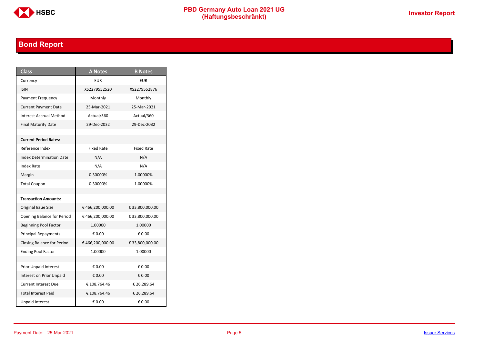

# **PBD Germany Auto Loan 2021 UG**<br>
(Haftungsbeschränkt)<br>
This area of the CHSD CHA (Haftungsbeschränkt)

# <span id="page-4-0"></span>**Bond Report**

| <b>Class</b>                      | <b>A Notes</b>    | <b>B</b> Notes    |
|-----------------------------------|-------------------|-------------------|
| Currency                          | <b>EUR</b>        | <b>EUR</b>        |
| <b>ISIN</b>                       | XS2279552520      | XS2279552876      |
| Payment Frequency                 | Monthly           | Monthly           |
| <b>Current Payment Date</b>       | 25-Mar-2021       | 25-Mar-2021       |
| <b>Interest Accrual Method</b>    | Actual/360        | Actual/360        |
| <b>Final Maturity Date</b>        | 29-Dec-2032       | 29-Dec-2032       |
|                                   |                   |                   |
| <b>Current Period Rates:</b>      |                   |                   |
| Reference Index                   | <b>Fixed Rate</b> | <b>Fixed Rate</b> |
| <b>Index Determination Date</b>   | N/A               | N/A               |
| <b>Index Rate</b>                 | N/A               | N/A               |
| Margin                            | 0.30000%          | 1.00000%          |
| <b>Total Coupon</b>               | 0.30000%          | 1.00000%          |
|                                   |                   |                   |
| <b>Transaction Amounts:</b>       |                   |                   |
| Original Issue Size               | €466,200,000.00   | € 33,800,000.00   |
| <b>Opening Balance for Period</b> | €466,200,000.00   | € 33,800,000.00   |
| <b>Beginning Pool Factor</b>      | 1.00000           | 1.00000           |
| <b>Principal Repayments</b>       | € 0.00            | € 0.00            |
| Closing Balance for Period        | €466,200,000.00   | € 33,800,000.00   |
| <b>Ending Pool Factor</b>         | 1.00000           | 1.00000           |
|                                   |                   |                   |
| <b>Prior Unpaid Interest</b>      | € 0.00            | € 0.00            |
| Interest on Prior Unpaid          | € 0.00            | € 0.00            |
| <b>Current Interest Due</b>       | € 108,764.46      | € 26,289.64       |
| <b>Total Interest Paid</b>        | € 108,764.46      | € 26,289.64       |
| <b>Unpaid Interest</b>            | € 0.00            | € 0.00            |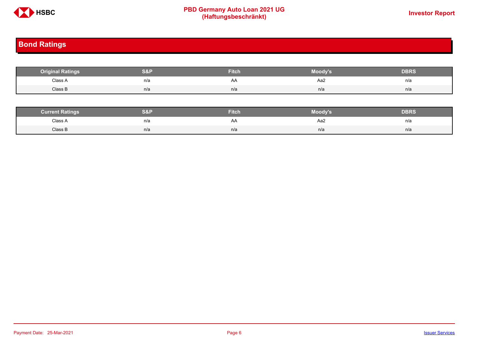

# **PBD Germany Auto Loan 2021 UG**<br>
(Haftungsbeschränkt)<br>
This area of the CHSD CHA (Haftungsbeschränkt)

# <span id="page-5-0"></span>**Bond Ratings**

| <b>Original Ratings</b> | S&F | <b>Fitch</b> | Moody's | <b>DBRS</b> |
|-------------------------|-----|--------------|---------|-------------|
| Class A<br>.            | n/a | AA           | Aa2     | n/a         |
| Class B                 | n/a | n/a          | n/a     | n/a         |

| <b><i>Surrent Ratings</i></b> | 0.91<br>>I≏∃i | <b>Fitch</b> | Moody's | DERS. |
|-------------------------------|---------------|--------------|---------|-------|
| Class A<br>.                  | n/a           | A۴           | Aa2     | n/a   |
| Class B                       | n/a           | n/a          | n/a     | n/a   |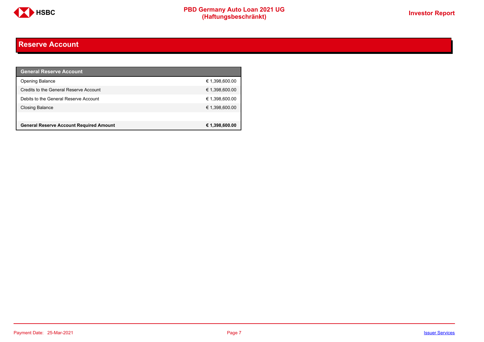

### <span id="page-6-0"></span>**Reserve Account**

| <b>General Reserve Account</b>                 |                |
|------------------------------------------------|----------------|
| <b>Opening Balance</b>                         | € 1,398,600.00 |
| Credits to the General Reserve Account         | € 1,398,600.00 |
| Debits to the General Reserve Account          | € 1,398,600.00 |
| <b>Closing Balance</b>                         | € 1,398,600.00 |
|                                                |                |
| <b>General Reserve Account Required Amount</b> | € 1,398,600.00 |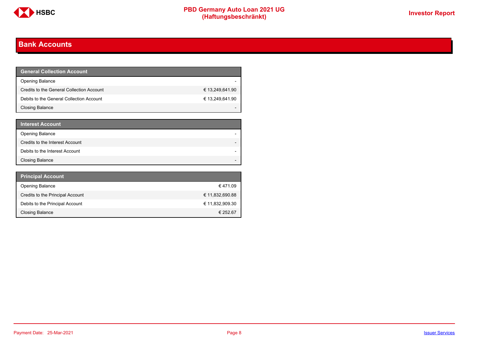

### <span id="page-7-0"></span>**Bank Accounts**

| <b>General Collection Account</b>         |                 |
|-------------------------------------------|-----------------|
| <b>Opening Balance</b>                    |                 |
| Credits to the General Collection Account | € 13,249,641.90 |
| Debits to the General Collection Account  | € 13,249,641.90 |
| Closing Balance                           |                 |

| <b>Interest Account</b>         |  |
|---------------------------------|--|
| Opening Balance                 |  |
| Credits to the Interest Account |  |
| Debits to the Interest Account  |  |
| <b>Closing Balance</b>          |  |

| <b>Principal Account</b>         |                 |
|----------------------------------|-----------------|
| <b>Opening Balance</b>           | €471.09         |
| Credits to the Principal Account | € 11,832,690.88 |
| Debits to the Principal Account  | € 11.832.909.30 |
| <b>Closing Balance</b>           | € 252.67        |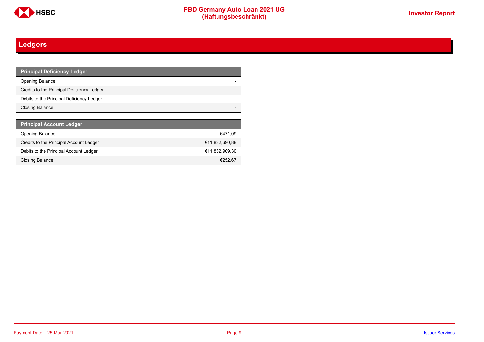

# <span id="page-8-0"></span>**Ledgers**

| <b>Principal Deficiency Ledger</b>         |  |
|--------------------------------------------|--|
| <b>Opening Balance</b>                     |  |
| Credits to the Principal Deficiency Ledger |  |
| Debits to the Principal Deficiency Ledger  |  |
| Closing Balance                            |  |

| <b>Principal Account Ledger</b>         |                |
|-----------------------------------------|----------------|
| <b>Opening Balance</b>                  | €471.09        |
| Credits to the Principal Account Ledger | €11,832,690,88 |
| Debits to the Principal Account Ledger  | €11,832,909,30 |
| <b>Closing Balance</b>                  | €252.67        |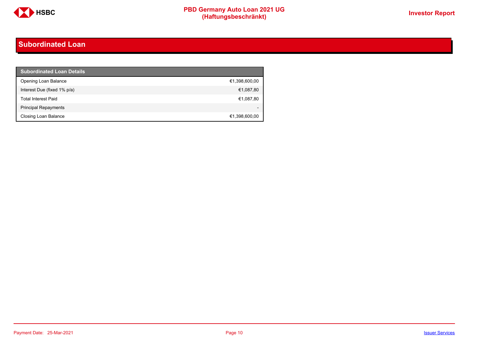

### <span id="page-9-0"></span>**Subordinated Loan**

| <b>Subordinated Loan Details</b> |               |
|----------------------------------|---------------|
| Opening Loan Balance             | €1,398,600,00 |
| Interest Due (fixed 1% p/a)      | €1,087,80     |
| <b>Total Interest Paid</b>       | €1,087,80     |
| <b>Principal Repayments</b>      |               |
| Closing Loan Balance             | €1,398,600,00 |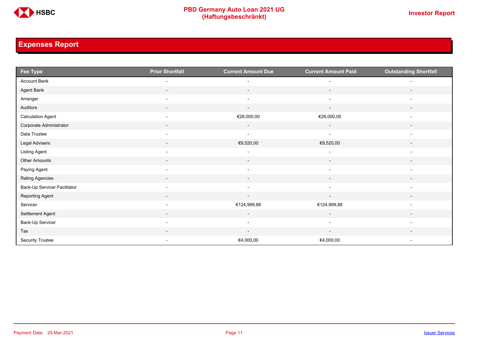

### <span id="page-10-0"></span>**Expenses Report**

| Fee Type                     | <b>Prior Shortfall</b>   | <b>Current Amount Due</b> | <b>Current Amount Paid</b> | <b>Outstanding Shortfall</b> |
|------------------------------|--------------------------|---------------------------|----------------------------|------------------------------|
| Account Bank                 |                          |                           |                            |                              |
| Agent Bank                   | $\overline{\phantom{a}}$ | $\overline{\phantom{a}}$  | $\overline{\phantom{a}}$   | $\overline{\phantom{a}}$     |
| Arranger                     | $\overline{\phantom{a}}$ | $\overline{\phantom{a}}$  | $\overline{\phantom{a}}$   | $\overline{\phantom{a}}$     |
| Auditors                     | $\overline{\phantom{a}}$ | $\overline{\phantom{a}}$  | $\overline{\phantom{a}}$   |                              |
| <b>Calculation Agent</b>     | $\overline{\phantom{a}}$ | €28,000,00                | €28,000,00                 |                              |
| Corporate Administrator      | $\overline{\phantom{a}}$ | $\sim$                    | $\overline{\phantom{a}}$   | $\overline{\phantom{a}}$     |
| Data Trustee                 | $\overline{\phantom{a}}$ | $\overline{\phantom{a}}$  | $\blacksquare$             | $\overline{a}$               |
| Legal Advisers               | $\overline{\phantom{a}}$ | €9,520,00                 | €9,520,00                  | $\overline{\phantom{a}}$     |
| <b>Listing Agent</b>         | $\overline{\phantom{a}}$ |                           |                            | $\overline{\phantom{a}}$     |
| Other Amounts                | $\sim$                   | $\sim$                    | $\sim$                     | $\sim$                       |
| Paying Agent                 | $\overline{\phantom{a}}$ | $\overline{\phantom{a}}$  | $\overline{\phantom{a}}$   | $\overline{\phantom{a}}$     |
| Rating Agencies              |                          |                           |                            |                              |
| Back-Up Servicer Facilitator | $\overline{\phantom{a}}$ | $\sim$                    | $\overline{\phantom{a}}$   | $\overline{\phantom{a}}$     |
| Reporting Agent              | $\sim$                   | $\overline{\phantom{a}}$  | $\overline{\phantom{a}}$   | $\overline{\phantom{a}}$     |
| Servicer                     | $\overline{\phantom{a}}$ | €124,999,88               | €124,999,88                | $\overline{\phantom{a}}$     |
| Settlement Agent             | $\sim$                   | $\sim$                    | $\sim$                     | $\overline{\phantom{a}}$     |
| Back-Up Servicer             | $\overline{\phantom{a}}$ | $\overline{\phantom{a}}$  | $\blacksquare$             | $\overline{a}$               |
| Tax                          |                          |                           |                            |                              |
| Security Trustee             | $\overline{\phantom{a}}$ | €4,000,00                 | €4,000,00                  | $\overline{\phantom{a}}$     |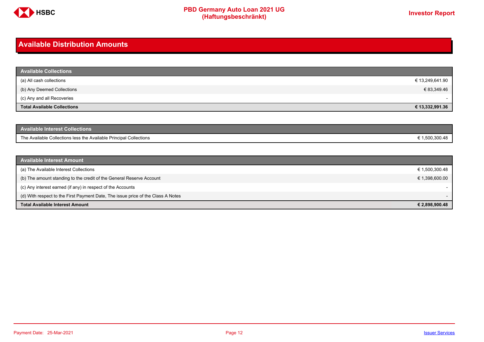

### <span id="page-11-0"></span>**Available Distribution Amounts**

| <b>Available Collections</b>       |                 |
|------------------------------------|-----------------|
| (a) All cash collections           | € 13,249,641.90 |
| (b) Any Deemed Collections         | € 83,349.46     |
| (c) Any and all Recoveries         |                 |
| <b>Total Available Collections</b> | € 13,332,991.36 |

| <b>Available Interest Collections</b>                              |              |
|--------------------------------------------------------------------|--------------|
| The Available Collections less the Available Principal Collections | 1.500.300.48 |

| <b>Available Interest Amount</b>                                                 |                          |
|----------------------------------------------------------------------------------|--------------------------|
| (a) The Available Interest Collections                                           | € 1,500,300.48           |
| (b) The amount standing to the credit of the General Reserve Account             | € 1,398,600.00           |
| (c) Any interest earned (if any) in respect of the Accounts                      |                          |
| (d) With respect to the First Payment Date, The issue price of the Class A Notes | $\overline{\phantom{0}}$ |
| <b>Total Available Interest Amount</b>                                           | € 2,898,900.48           |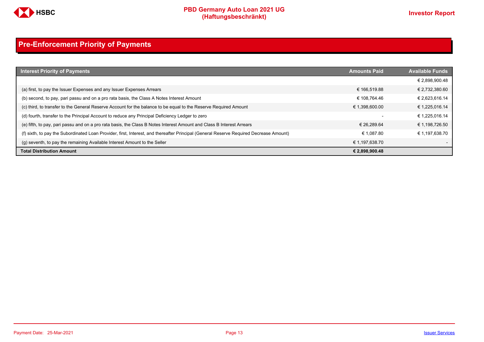

# <span id="page-12-0"></span>**Pre-Enforcement Priority of Payments**

| <b>Interest Priority of Payments</b>                                                                                                   | <b>Amounts Paid</b> | <b>Available Funds</b> |
|----------------------------------------------------------------------------------------------------------------------------------------|---------------------|------------------------|
|                                                                                                                                        |                     | € 2,898,900.48         |
| (a) first, to pay the Issuer Expenses and any Issuer Expenses Arrears                                                                  | € 166.519.88        | € 2,732,380.60         |
| (b) second, to pay, pari passu and on a pro rata basis, the Class A Notes Interest Amount                                              | € 108.764.46        | € 2,623,616.14         |
| (c) third, to transfer to the General Reserve Account for the balance to be equal to the Reserve Required Amount                       | € 1,398,600.00      | € 1,225,016.14         |
| (d) fourth, transfer to the Principal Account to reduce any Principal Deficiency Ledger to zero                                        |                     | € 1,225,016.14         |
| (e) fifth, to pay, pari passu and on a pro rata basis, the Class B Notes Interest Amount and Class B Interest Arrears                  | € 26.289.64         | € 1,198,726.50         |
| (f) sixth, to pay the Subordinated Loan Provider, first, Interest, and thereafter Principal (General Reserve Required Decrease Amount) | € 1.087.80          | € 1,197,638.70         |
| (g) seventh, to pay the remaining Available Interest Amount to the Seller                                                              | € 1,197,638.70      |                        |
| <b>Total Distribution Amount</b>                                                                                                       | € 2,898,900.48      |                        |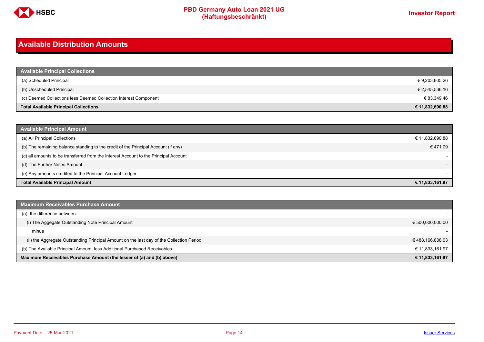

### <span id="page-13-0"></span>**Available Distribution Amounts**

| <b>Available Principal Collections</b>                           |                 |
|------------------------------------------------------------------|-----------------|
| (a) Scheduled Principal                                          | € 9,203,805.26  |
| (b) Unscheduled Principal                                        | € 2,545,536.16  |
| (c) Deemed Collections less Deemed Collection Interest Component | € 83,349.46     |
| <b>Total Available Principal Collections</b>                     | € 11,832,690.88 |

| <b>Available Principal Amount</b>                                                    |                          |
|--------------------------------------------------------------------------------------|--------------------------|
| (a) All Principal Collections                                                        | € 11,832,690.88          |
| (b) The remaining balance standing to the credit of the Principal Account (if any)   | € 471.09                 |
| (c) all amounts to be transferred from the Interest Account to the Principal Account |                          |
| (d) The Further Notes Amount                                                         | $\overline{\phantom{a}}$ |
| (e) Any amounts credited to the Principal Account Ledger                             |                          |
| <b>Total Available Principal Amount</b>                                              | € 11,833,161.97          |

| <b>Maximum Receivables Purchase Amount</b>                                               |                  |
|------------------------------------------------------------------------------------------|------------------|
| (a) the difference between:                                                              |                  |
| (i) The Aggegate Outstanding Note Principal Amount                                       | € 500,000,000.00 |
| minus                                                                                    |                  |
| (ii) the Aggregate Outstanding Principal Amount on the last day of the Collection Period | €488,166,838.03  |
| (b) The Available Principal Amount, less Additional Purchased Receivables                | € 11.833.161.97  |
| Maximum Receivables Purchase Amount (the lesser of (a) and (b) above)                    | € 11,833,161.97  |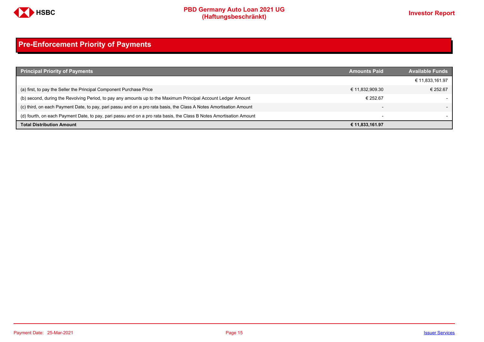

# <span id="page-14-0"></span>**Pre-Enforcement Priority of Payments**

| <b>Principal Priority of Payments</b>                                                                               | <b>Amounts Paid</b>      | <b>Available Funds</b> |
|---------------------------------------------------------------------------------------------------------------------|--------------------------|------------------------|
|                                                                                                                     |                          | € 11,833,161.97        |
| (a) first, to pay the Seller the Principal Component Purchase Price                                                 | € 11,832,909.30          | € 252.67               |
| (b) second, during the Revolving Period, to pay any amounts up to the Maximum Principal Account Ledger Amount       | € 252.67                 |                        |
| (c) third, on each Payment Date, to pay, pari passu and on a pro rata basis, the Class A Notes Amortisation Amount  |                          |                        |
| (d) fourth, on each Payment Date, to pay, pari passu and on a pro rata basis, the Class B Notes Amortisation Amount | $\overline{\phantom{0}}$ |                        |
| <b>Total Distribution Amount</b>                                                                                    | € 11,833,161.97          |                        |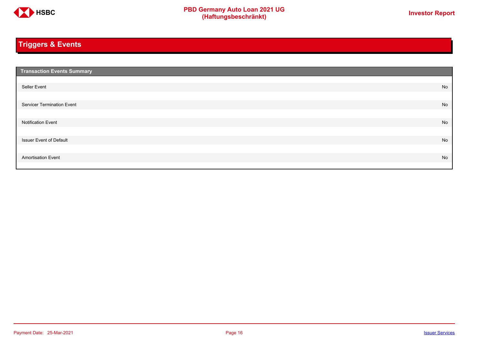

# <span id="page-15-0"></span>**Triggers & Events**

| <b>Transaction Events Summary</b> |    |
|-----------------------------------|----|
|                                   |    |
| Seller Event                      | No |
|                                   |    |
| Servicer Termination Event        | No |
|                                   |    |
| <b>Notification Event</b>         | No |
|                                   |    |
| <b>Issuer Event of Default</b>    | No |
|                                   |    |
| <b>Amortisation Event</b>         | No |
|                                   |    |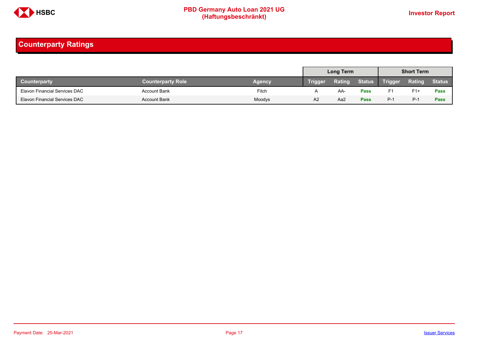

### <span id="page-16-0"></span>**Counterparty Ratings**

|                                      |                          |               |                | Long Term |               |                | <b>Short Term</b> |               |
|--------------------------------------|--------------------------|---------------|----------------|-----------|---------------|----------------|-------------------|---------------|
| <b>Counterparty</b>                  | <b>Counterparty Role</b> | <b>Agency</b> | <b>Trigger</b> | Rating    | <b>Status</b> | <b>Trigger</b> | Rating            | <b>Status</b> |
| Elavon Financial Services DAC        | <b>Account Bank</b>      | Fitch         |                | AA.       | <b>Pass</b>   | F1             | $F1+$             | Pass          |
| <b>Elavon Financial Services DAC</b> | <b>Account Bank</b>      | Moodys        | A <sub>2</sub> | Aa2       | Pass          | $P-1$          | $P-1$             | Pass          |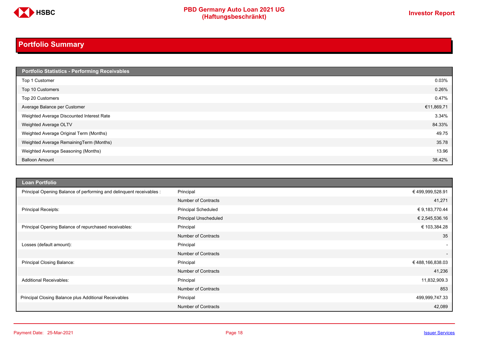

# <span id="page-17-0"></span>**Portfolio Summary**

| Portfolio Statistics - Performing Receivables |            |
|-----------------------------------------------|------------|
| Top 1 Customer                                | 0.03%      |
| Top 10 Customers                              | 0.26%      |
| Top 20 Customers                              | 0.47%      |
| Average Balance per Customer                  | €11,869,71 |
| Weighted Average Discounted Interest Rate     | 3.34%      |
| Weighted Average OLTV                         | 84.33%     |
| Weighted Average Original Term (Months)       | 49.75      |
| Weighted Average RemainingTerm (Months)       | 35.78      |
| Weighted Average Seasoning (Months)           | 13.96      |
| <b>Balloon Amount</b>                         | 38.42%     |

| <b>Loan Portfolio</b>                                                |                              |                 |
|----------------------------------------------------------------------|------------------------------|-----------------|
| Principal Opening Balance of performing and delinquent receivables : | Principal                    | €499,999,528.91 |
|                                                                      | <b>Number of Contracts</b>   | 41,271          |
| Principal Receipts:                                                  | <b>Principal Scheduled</b>   | € 9,183,770.44  |
|                                                                      | <b>Principal Unscheduled</b> | € 2,545,536.16  |
| Principal Opening Balance of repurchased receivables:                | Principal                    | € 103,384.28    |
|                                                                      | <b>Number of Contracts</b>   | 35              |
| Losses (default amount):                                             | Principal                    | $\sim$          |
|                                                                      | <b>Number of Contracts</b>   | $\overline{a}$  |
| Principal Closing Balance:                                           | Principal                    | €488,166,838.03 |
|                                                                      | <b>Number of Contracts</b>   | 41,236          |
| <b>Additional Receivables:</b>                                       | Principal                    | 11,832,909.3    |
|                                                                      | <b>Number of Contracts</b>   | 853             |
| Principal Closing Balance plus Additional Receivables                | Principal                    | 499,999,747.33  |
|                                                                      | <b>Number of Contracts</b>   | 42,089          |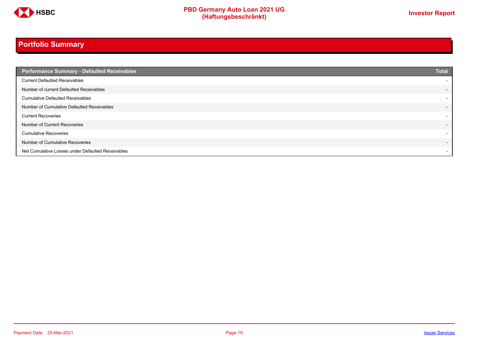

# **Portfolio Summary**

| <b>Performance Summary - Defaulted Receivables</b> | <b>Total</b>             |
|----------------------------------------------------|--------------------------|
| <b>Current Defaulted Receivables</b>               | $\overline{\phantom{a}}$ |
| Number of current Defaulted Receivables            | $\overline{\phantom{0}}$ |
| <b>Cumulative Defaulted Receivables</b>            | $\overline{\phantom{a}}$ |
| Number of Cumulative Defaulted Receivables         | $\overline{\phantom{0}}$ |
| <b>Current Recoveries</b>                          | $\overline{\phantom{0}}$ |
| Number of Current Recoveries                       | $\overline{\phantom{a}}$ |
| <b>Cumulative Recoveries</b>                       | $\overline{\phantom{a}}$ |
| Number of Cumulative Recoveries                    | $\overline{\phantom{0}}$ |
| Net Cumulative Losses under Defaulted Receivables  | $\overline{\phantom{a}}$ |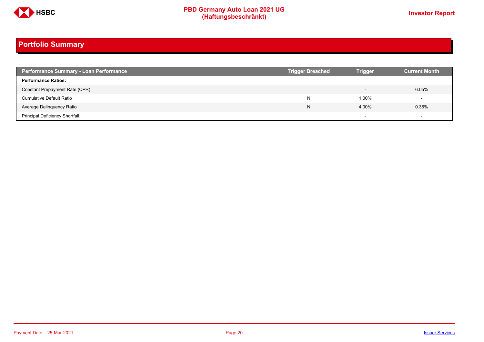

# **Portfolio Summary**

| <b>Performance Summary - Loan Performance</b> | <b>Trigger Breached</b> | <b>Trigger</b>           | <b>Current Month</b> |
|-----------------------------------------------|-------------------------|--------------------------|----------------------|
| <b>Performance Ratios:</b>                    |                         |                          |                      |
| Constant Prepayment Rate (CPR)                |                         | $\overline{\phantom{0}}$ | 6.05%                |
| <b>Cumulative Default Ratio</b>               | N                       | 1.00%                    |                      |
| Average Delinquency Ratio                     | N                       | 4.00%                    | 0.36%                |
| <b>Principal Deficiency Shortfall</b>         |                         | $\overline{\phantom{0}}$ |                      |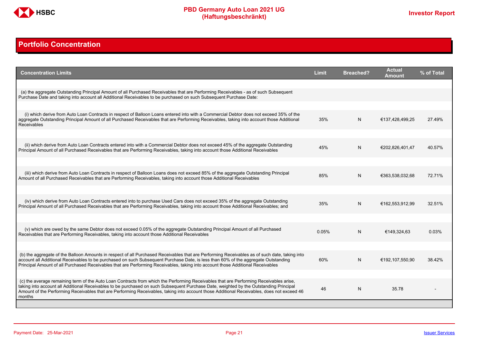

### <span id="page-20-0"></span>**Portfolio Concentration**

| <b>Concentration Limits</b>                                                                                                                                                                                                                                                                                                                                                                                                              | <b>Limit</b> | <b>Breached?</b> | <b>Actual</b><br>Amount | % of Total |
|------------------------------------------------------------------------------------------------------------------------------------------------------------------------------------------------------------------------------------------------------------------------------------------------------------------------------------------------------------------------------------------------------------------------------------------|--------------|------------------|-------------------------|------------|
| (a) the aggregate Outstanding Principal Amount of all Purchased Receivables that are Performing Receivables - as of such Subsequent<br>Purchase Date and taking into account all Additional Receivables to be purchased on such Subsequent Purchase Date:                                                                                                                                                                                |              |                  |                         |            |
| (i) which derive from Auto Loan Contracts in respect of Balloon Loans entered into with a Commercial Debtor does not exceed 35% of the                                                                                                                                                                                                                                                                                                   |              |                  |                         |            |
| aggregate Outstanding Principal Amount of all Purchased Receivables that are Performing Receivables, taking into account those Additional<br><b>Receivables</b>                                                                                                                                                                                                                                                                          | 35%          | N                | €137,428,499,25         | 27.49%     |
| (ii) which derive from Auto Loan Contracts entered into with a Commercial Debtor does not exceed 45% of the aggregate Outstanding<br>Principal Amount of all Purchased Receivables that are Performing Receivables, taking into account those Additional Receivables                                                                                                                                                                     | 45%          | N                | €202,826,401,47         | 40.57%     |
|                                                                                                                                                                                                                                                                                                                                                                                                                                          |              |                  |                         |            |
| (iii) which derive from Auto Loan Contracts in respect of Balloon Loans does not exceed 85% of the aggregate Outstanding Principal<br>Amount of all Purchased Receivables that are Performing Receivables, taking into account those Additional Receivables                                                                                                                                                                              | 85%          | N                | €363,538,032,68         | 72.71%     |
|                                                                                                                                                                                                                                                                                                                                                                                                                                          |              |                  |                         |            |
| (iv) which derive from Auto Loan Contracts entered into to purchase Used Cars does not exceed 35% of the aggregate Outstanding<br>Principal Amount of all Purchased Receivables that are Performing Receivables, taking into account those Additional Receivables; and                                                                                                                                                                   | 35%          | N                | €162,553,912,99         | 32.51%     |
|                                                                                                                                                                                                                                                                                                                                                                                                                                          |              |                  |                         |            |
| (v) which are owed by the same Debtor does not exceed 0.05% of the aggregate Outstanding Principal Amount of all Purchased<br>Receivables that are Performing Receivables, taking into account those Additional Receivables                                                                                                                                                                                                              | 0.05%        | N                | €149,324,63             | 0.03%      |
|                                                                                                                                                                                                                                                                                                                                                                                                                                          |              |                  |                         |            |
| (b) the aggregate of the Balloon Amounts in respect of all Purchased Receivables that are Performing Receivables as of such date, taking into<br>account all Additional Receivables to be purchased on such Subsequent Purchase Date, is less than 60% of the aggregate Outstanding<br>Principal Amount of all Purchased Receivables that are Performing Receivables, taking into account those Additional Receivables                   | 60%          | N                | €192,107,550,90         | 38.42%     |
|                                                                                                                                                                                                                                                                                                                                                                                                                                          |              |                  |                         |            |
| (c) the average remaining term of the Auto Loan Contracts from which the Performing Receivables that are Performing Receivables arise.<br>taking into account all Additional Receivables to be purchased on such Subsequent Purchase Date, weighted by the Outstanding Principal<br>Amount of the Performing Receivables that are Performing Receivables, taking into account those Additional Receivables, does not exceed 46<br>months | 46           | N                | 35.78                   |            |
|                                                                                                                                                                                                                                                                                                                                                                                                                                          |              |                  |                         |            |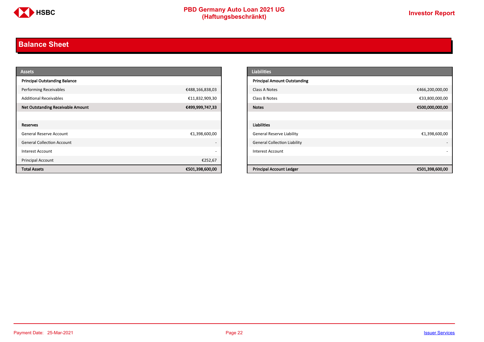

### <span id="page-21-0"></span>**Balance Sheet**

| <b>Assets</b>                            |                          | <b>Liabilities</b>                  |                 |
|------------------------------------------|--------------------------|-------------------------------------|-----------------|
| <b>Principal Outstanding Balance</b>     |                          | <b>Principal Amount Outstanding</b> |                 |
| <b>Performing Receivables</b>            | €488,166,838,03          | Class A Notes                       | €466,200,000,00 |
| <b>Additional Receivables</b>            | €11,832,909,30           | Class B Notes                       | €33,800,000,00  |
| <b>Net Outstanding Receivable Amount</b> | €499,999,747,33          | <b>Notes</b>                        | €500,000,000,00 |
|                                          |                          |                                     |                 |
| Reserves                                 |                          | <b>Liabilities</b>                  |                 |
| General Reserve Account                  | €1,398,600,00            | <b>General Reserve Liability</b>    | €1,398,600,00   |
| <b>General Collection Account</b>        | $\overline{\phantom{a}}$ | <b>General Collection Liability</b> |                 |
| Interest Account                         | $\overline{\phantom{a}}$ | Interest Account                    |                 |
| Principal Account                        | €252,67                  |                                     |                 |
| <b>Total Assets</b>                      | €501,398,600,00          | <b>Principal Account Ledger</b>     | €501,398,600,00 |

| <b>Liabilities</b>                  |                 |
|-------------------------------------|-----------------|
| <b>Principal Amount Outstanding</b> |                 |
| Class A Notes                       | €466,200,000,00 |
| Class B Notes                       | €33,800,000,00  |
| <b>Notes</b>                        | €500,000,000,00 |
|                                     |                 |
| <b>Liabilities</b>                  |                 |
| <b>General Reserve Liability</b>    | €1,398,600,00   |
| <b>General Collection Liability</b> |                 |
| <b>Interest Account</b>             |                 |
|                                     |                 |
| <b>Principal Account Ledger</b>     | €501,398,600,00 |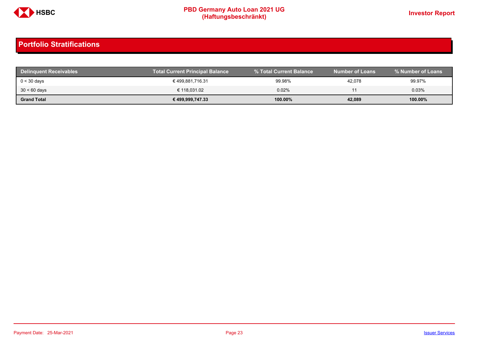

| <b>Delinquent Receivables</b> | <b>Total Current Principal Balance</b> | % Total Current Balance | <b>Number of Loans</b> |         |
|-------------------------------|----------------------------------------|-------------------------|------------------------|---------|
| $0 < 30$ days                 | € 499,881,716.31                       | 99.98%                  | 42,078                 | 99.97%  |
| $30 < 60$ days                | € 118,031.02                           | 0.02%                   |                        | 0.03%   |
| <b>Grand Total</b>            | € 499,999,747.33                       | 100.00%                 | 42,089                 | 100.00% |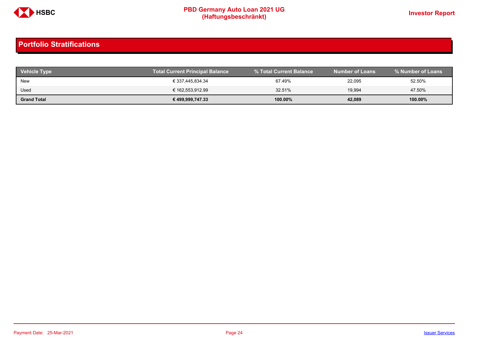

| <b>Vehicle Type</b> | <b>Total Current Principal Balance</b> | % Total Current Balance | <b>Number of Loans</b> | % Number of Loans |
|---------------------|----------------------------------------|-------------------------|------------------------|-------------------|
| New                 | € 337,445,834.34                       | 67.49%                  | 22,095                 | 52.50%            |
| Used                | € 162,553,912.99                       | 32.51%                  | 19.994                 | 47.50%            |
| <b>Grand Total</b>  | € 499,999,747.33                       | 100.00%                 | 42,089                 | 100.00%           |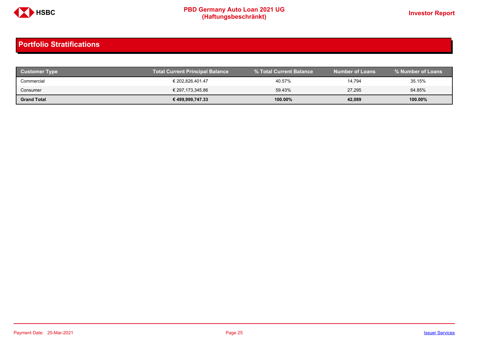

| <b>Customer Type</b> | <b>Total Current Principal Balance</b> | % Total Current Balance | <b>Number of Loans</b> | % Number of Loans |
|----------------------|----------------------------------------|-------------------------|------------------------|-------------------|
| Commercial           | € 202,826,401.47                       | 40.57%                  | 14,794                 | 35.15%            |
| Consumer             | € 297,173,345.86                       | 59.43%                  | 27,295                 | 64.85%            |
| <b>Grand Total</b>   | € 499,999,747.33                       | 100.00%                 | 42,089                 | 100.00%           |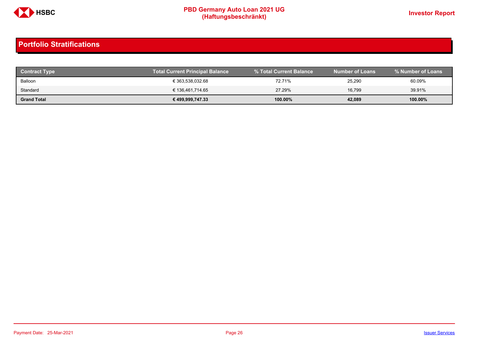

| <b>Contract Type</b> | <b>Total Current Principal Balance</b> |            | <b>Number of Loans</b> | % Number of Loans |
|----------------------|----------------------------------------|------------|------------------------|-------------------|
| Balloon              | € 363,538,032.68                       | 72.71%     | 25,290                 | 60.09%            |
| Standard             | € 136,461,714.65                       | 27.29%     | 16.799                 | 39.91%            |
| <b>Grand Total</b>   | € 499,999,747.33                       | $100.00\%$ | 42,089                 | 100.00%           |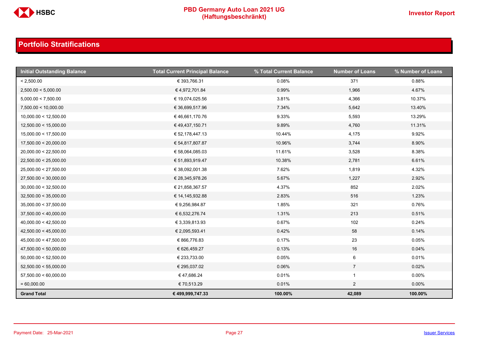

| <b>Initial Outstanding Balance</b> | <b>Total Current Principal Balance</b> | % Total Current Balance | <b>Number of Loans</b> | % Number of Loans |
|------------------------------------|----------------------------------------|-------------------------|------------------------|-------------------|
| < 2,500.00                         | € 393,766.31                           | 0.08%                   | 371                    | 0.88%             |
| 2,500.00 < 5,000.00                | €4,972,701.84                          | 0.99%                   | 1,966                  | 4.67%             |
| 5,000.00 < 7,500.00                | € 19,074,025.56                        | 3.81%                   | 4,366                  | 10.37%            |
| 7,500.00 < 10,000.00               | € 36,699,517.96                        | 7.34%                   | 5,642                  | 13.40%            |
| 10,000.00 < 12,500.00              | € 46,661,170.76                        | 9.33%                   | 5,593                  | 13.29%            |
| 12,500.00 < 15,000.00              | €49,437,150.71                         | 9.89%                   | 4,760                  | 11.31%            |
| 15,000.00 < 17,500.00              | € 52,178,447.13                        | 10.44%                  | 4,175                  | 9.92%             |
| 17,500.00 < 20,000.00              | € 54,817,807.87                        | 10.96%                  | 3,744                  | 8.90%             |
| 20,000.00 < 22,500.00              | € 58,064,085.03                        | 11.61%                  | 3,528                  | 8.38%             |
| 22,500.00 < 25,000.00              | € 51,893,919.47                        | 10.38%                  | 2,781                  | 6.61%             |
| 25,000.00 < 27,500.00              | € 38,092,001.38                        | 7.62%                   | 1,819                  | 4.32%             |
| 27,500.00 < 30,000.00              | € 28,345,978.26                        | 5.67%                   | 1,227                  | 2.92%             |
| 30,000.00 < 32,500.00              | € 21,858,367.57                        | 4.37%                   | 852                    | 2.02%             |
| 32,500.00 < 35,000.00              | € 14,145,932.88                        | 2.83%                   | 516                    | 1.23%             |
| 35,000.00 < 37,500.00              | € 9,256,984.87                         | 1.85%                   | 321                    | 0.76%             |
| 37,500.00 < 40,000.00              | € 6,532,276.74                         | 1.31%                   | 213                    | 0.51%             |
| 40,000.00 < 42,500.00              | € 3,339,813.93                         | 0.67%                   | 102                    | 0.24%             |
| 42,500.00 < 45,000.00              | € 2,095,593.41                         | 0.42%                   | 58                     | 0.14%             |
| 45,000.00 < 47,500.00              | € 866,776.83                           | 0.17%                   | 23                     | 0.05%             |
| 47,500.00 < 50,000.00              | € 626,459.27                           | 0.13%                   | 16                     | 0.04%             |
| 50,000.00 < 52,500.00              | € 233,733.00                           | 0.05%                   | $6\phantom{.}6$        | 0.01%             |
| 52,500.00 < 55,000.00              | € 295,037.02                           | 0.06%                   | $\overline{7}$         | 0.02%             |
| 57,500.00 < 60,000.00              | €47,686.24                             | 0.01%                   | $\mathbf{1}$           | $0.00\%$          |
| $= 60,000.00$                      | € 70,513.29                            | 0.01%                   | $\overline{2}$         | $0.00\%$          |
| <b>Grand Total</b>                 | € 499,999,747.33                       | 100.00%                 | 42,089                 | 100.00%           |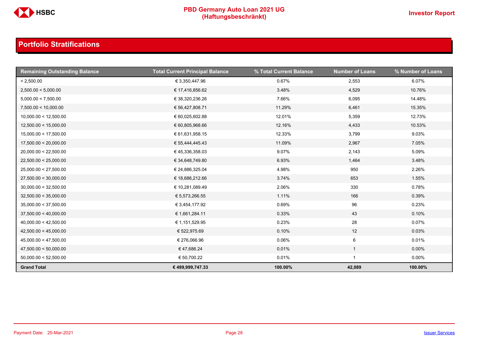

| <b>Remaining Outstanding Balance</b> | <b>Total Current Principal Balance</b> | % Total Current Balance | <b>Number of Loans</b> | % Number of Loans |
|--------------------------------------|----------------------------------------|-------------------------|------------------------|-------------------|
| < 2,500.00                           | € 3,350,447.96                         | 0.67%                   | 2,553                  | 6.07%             |
| 2,500.00 < 5,000.00                  | € 17,416,856.62                        | 3.48%                   | 4,529                  | 10.76%            |
| 5,000.00 < 7,500.00                  | € 38,320,236.26                        | 7.66%                   | 6,095                  | 14.48%            |
| 7,500.00 < 10,000.00                 | € 56,427,808.71                        | 11.29%                  | 6,461                  | 15.35%            |
| 10,000.00 < 12,500.00                | € 60,025,602.88                        | 12.01%                  | 5,359                  | 12.73%            |
| 12,500.00 < 15,000.00                | € 60,805,968.66                        | 12.16%                  | 4,433                  | 10.53%            |
| 15,000.00 < 17,500.00                | € 61,631,958.15                        | 12.33%                  | 3,799                  | 9.03%             |
| 17,500.00 < 20,000.00                | € 55,444,445.43                        | 11.09%                  | 2,967                  | 7.05%             |
| 20,000.00 < 22,500.00                | € 45,336,358.03                        | 9.07%                   | 2,143                  | 5.09%             |
| 22,500.00 < 25,000.00                | € 34,648,749.80                        | 6.93%                   | 1,464                  | 3.48%             |
| 25,000.00 < 27,500.00                | € 24,886,325.04                        | 4.98%                   | 950                    | 2.26%             |
| 27,500.00 < 30,000.00                | € 18,686,212.66                        | 3.74%                   | 653                    | 1.55%             |
| 30,000.00 < 32,500.00                | € 10,281,089.49                        | 2.06%                   | 330                    | 0.78%             |
| 32,500.00 < 35,000.00                | € 5,573,266.55                         | 1.11%                   | 166                    | 0.39%             |
| 35,000.00 < 37,500.00                | € 3,454,177.92                         | 0.69%                   | 96                     | 0.23%             |
| 37,500.00 < 40,000.00                | € 1,661,284.11                         | 0.33%                   | 43                     | 0.10%             |
| 40,000.00 < 42,500.00                | € 1,151,529.95                         | 0.23%                   | 28                     | 0.07%             |
| 42,500.00 < 45,000.00                | € 522,975.69                           | 0.10%                   | $12$                   | 0.03%             |
| 45,000.00 < 47,500.00                | € 276,066.96                           | 0.06%                   | 6                      | 0.01%             |
| 47,500.00 < 50,000.00                | €47,686.24                             | 0.01%                   | $\mathbf{1}$           | $0.00\%$          |
| 50,000.00 < 52,500.00                | € 50,700.22                            | 0.01%                   | $\mathbf{1}$           | $0.00\%$          |
| <b>Grand Total</b>                   | € 499,999,747.33                       | 100.00%                 | 42,089                 | 100.00%           |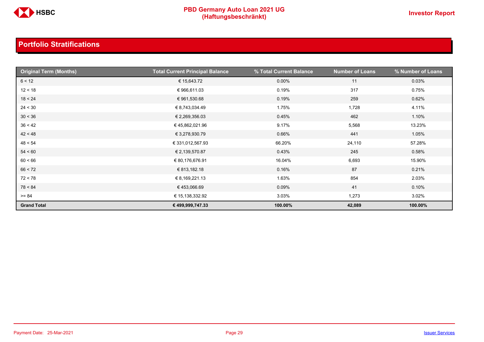

| <b>Original Term (Months)</b> | <b>Total Current Principal Balance</b> | % Total Current Balance | <b>Number of Loans</b> | % Number of Loans |
|-------------------------------|----------------------------------------|-------------------------|------------------------|-------------------|
| 6 < 12                        | € 15,643.72                            | $0.00\%$                | 11                     | 0.03%             |
| 12 < 18                       | € 966,611.03                           | 0.19%                   | 317                    | 0.75%             |
| 18 < 24                       | € 961,530.68                           | 0.19%                   | 259                    | 0.62%             |
| 24 < 30                       | € 8,743,034.49                         | 1.75%                   | 1,728                  | 4.11%             |
| 30 < 36                       | € 2,269,356.03                         | 0.45%                   | 462                    | 1.10%             |
| 36 < 42                       | € 45,862,021.96                        | 9.17%                   | 5,568                  | 13.23%            |
| 42 < 48                       | € 3,278,930.79                         | 0.66%                   | 441                    | 1.05%             |
| 48 < 54                       | € 331,012,567.93                       | 66.20%                  | 24,110                 | 57.28%            |
| 54 < 60                       | € 2,139,570.87                         | 0.43%                   | 245                    | 0.58%             |
| 60 < 66                       | € 80,176,676.91                        | 16.04%                  | 6,693                  | 15.90%            |
| 66 < 72                       | € 813,182.18                           | 0.16%                   | 87                     | 0.21%             |
| 72 < 78                       | € 8,169,221.13                         | 1.63%                   | 854                    | 2.03%             |
| 78 < 84                       | €453,066.69                            | 0.09%                   | 41                     | 0.10%             |
| $>= 84$                       | € 15,138,332.92                        | 3.03%                   | 1,273                  | 3.02%             |
| <b>Grand Total</b>            | € 499,999,747.33                       | 100.00%                 | 42,089                 | 100.00%           |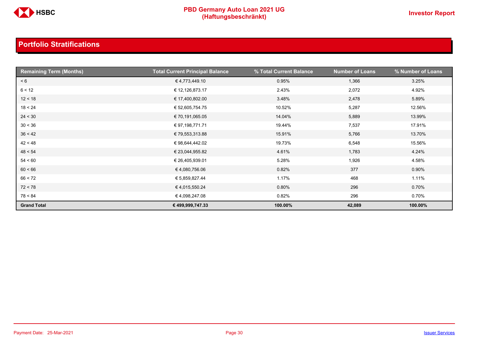

| <b>Remaining Term (Months)</b> | <b>Total Current Principal Balance</b> | % Total Current Balance | <b>Number of Loans</b> | % Number of Loans |
|--------------------------------|----------------------------------------|-------------------------|------------------------|-------------------|
| < 6                            | €4,773,449.10                          | 0.95%                   | 1,366                  | 3.25%             |
| 6 < 12                         | € 12,126,873.17                        | 2.43%                   | 2,072                  | 4.92%             |
| 12 < 18                        | € 17,400,802.00                        | 3.48%                   | 2,478                  | 5.89%             |
| 18 < 24                        | € 52,605,754.75                        | 10.52%                  | 5,287                  | 12.56%            |
| 24 < 30                        | € 70,191,065.05                        | 14.04%                  | 5,889                  | 13.99%            |
| 30 < 36                        | € 97,198,771.71                        | 19.44%                  | 7,537                  | 17.91%            |
| 36 < 42                        | € 79,553,313.88                        | 15.91%                  | 5,766                  | 13.70%            |
| 42 < 48                        | € 98,644,442.02                        | 19.73%                  | 6,548                  | 15.56%            |
| 48 < 54                        | € 23,044,955.82                        | 4.61%                   | 1,783                  | 4.24%             |
| 54 < 60                        | € 26,405,939.01                        | 5.28%                   | 1,926                  | 4.58%             |
| 60 < 66                        | € 4,080,756.06                         | 0.82%                   | 377                    | 0.90%             |
| 66 < 72                        | € 5,859,827.44                         | 1.17%                   | 468                    | 1.11%             |
| 72 < 78                        | €4,015,550.24                          | 0.80%                   | 296                    | 0.70%             |
| 78 < 84                        | €4,098,247.08                          | 0.82%                   | 296                    | 0.70%             |
| <b>Grand Total</b>             | € 499,999,747.33                       | 100.00%                 | 42,089                 | 100.00%           |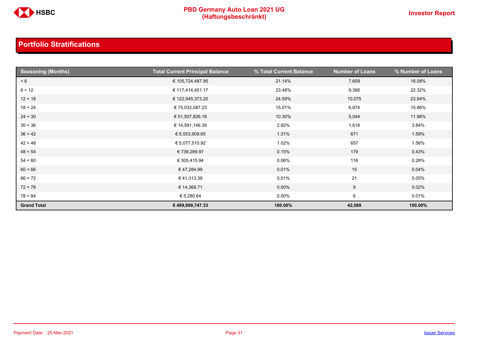

| <b>Seasoning (Months)</b> | <b>Total Current Principal Balance</b> | % Total Current Balance | <b>Number of Loans</b> | % Number of Loans |
|---------------------------|----------------------------------------|-------------------------|------------------------|-------------------|
| < 6                       | € 105,724,487.95                       | 21.14%                  | 7,609                  | 18.08%            |
| 6 < 12                    | € 117,414,451.17                       | 23.48%                  | 9,395                  | 22.32%            |
| 12 < 18                   | € 122,945,373.20                       | 24.59%                  | 10,075                 | 23.94%            |
| 18 < 24                   | € 75,032,087.23                        | 15.01%                  | 6,674                  | 15.86%            |
| 24 < 30                   | € 51,507,826.18                        | 10.30%                  | 5,044                  | 11.98%            |
| 30 < 36                   | € 14,591,146.39                        | 2.92%                   | 1,618                  | 3.84%             |
| 36 < 42                   | € 6,553,909.65                         | 1.31%                   | 671                    | 1.59%             |
| 42 < 48                   | € 5,077,510.92                         | 1.02%                   | 657                    | 1.56%             |
| 48 < 54                   | € 739,289.97                           | 0.15%                   | 179                    | 0.43%             |
| 54 < 60                   | € 305,415.94                           | 0.06%                   | 116                    | 0.28%             |
| 60 < 66                   | €47,284.99                             | 0.01%                   | 15                     | 0.04%             |
| 66 < 72                   | €41,313.39                             | 0.01%                   | 21                     | 0.05%             |
| 72 < 78                   | € 14,369.71                            | 0.00%                   | 9                      | 0.02%             |
| 78 < 84                   | € 5,280.64                             | $0.00\%$                | 6                      | 0.01%             |
| <b>Grand Total</b>        | € 499,999,747.33                       | 100.00%                 | 42,089                 | 100.00%           |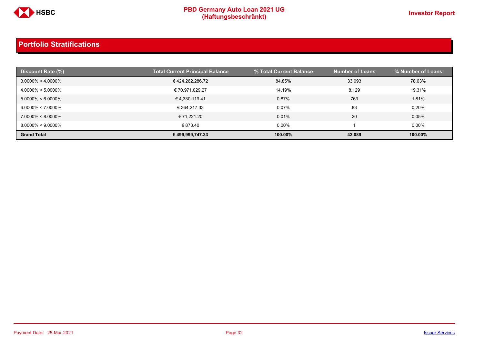

| Discount Rate (%)     | Total Current Principal Balance | % Total Current Balance | <b>Number of Loans</b> | % Number of Loans |
|-----------------------|---------------------------------|-------------------------|------------------------|-------------------|
| $3.0000\% < 4.0000\%$ | € 424,262,286.72                | 84.85%                  | 33,093                 | 78.63%            |
| $4.0000\% < 5.0000\%$ | € 70,971,029.27                 | 14.19%                  | 8,129                  | 19.31%            |
| $5.0000\% < 6.0000\%$ | € 4,330,119.41                  | 0.87%                   | 763                    | 1.81%             |
| $6.0000\% < 7.0000\%$ | € 364.217.33                    | 0.07%                   | 83                     | 0.20%             |
| $7.0000\% < 8.0000\%$ | € 71.221.20                     | 0.01%                   | 20                     | 0.05%             |
| $8.0000\% < 9.0000\%$ | € 873.40                        | $0.00\%$                |                        | $0.00\%$          |
| <b>Grand Total</b>    | € 499,999,747.33                | 100.00%                 | 42,089                 | 100.00%           |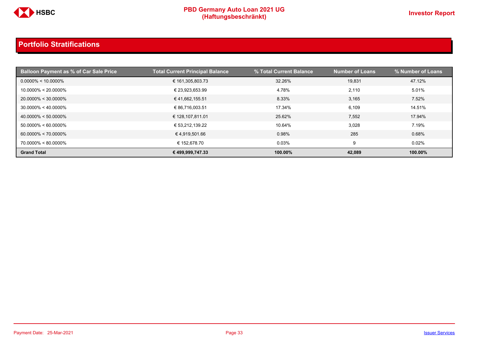

| <b>Balloon Payment as % of Car Sale Price</b> | <b>Total Current Principal Balance</b> | % Total Current Balance | <b>Number of Loans</b> | % Number of Loans |
|-----------------------------------------------|----------------------------------------|-------------------------|------------------------|-------------------|
| $0.0000\% < 10.0000\%$                        | € 161,305,803.73                       | 32.26%                  | 19.831                 | 47.12%            |
| $10.0000\% < 20.0000\%$                       | € 23,923,653.99                        | 4.78%                   | 2,110                  | 5.01%             |
| $20.0000\% < 30.0000\%$                       | €41,662,155.51                         | 8.33%                   | 3,165                  | 7.52%             |
| $30.0000\% < 40.0000\%$                       | € 86,716,003.51                        | 17.34%                  | 6,109                  | 14.51%            |
| $40.0000\% < 50.0000\%$                       | € 128,107,811.01                       | 25.62%                  | 7,552                  | 17.94%            |
| $50.0000\% < 60.0000\%$                       | € 53,212,139.22                        | 10.64%                  | 3,028                  | 7.19%             |
| $60.0000\% < 70.0000\%$                       | €4,919,501.66                          | 0.98%                   | 285                    | 0.68%             |
| 70.0000% < 80.0000%                           | € 152.678.70                           | 0.03%                   | 9                      | 0.02%             |
| <b>Grand Total</b>                            | € 499,999,747.33                       | 100.00%                 | 42,089                 | 100.00%           |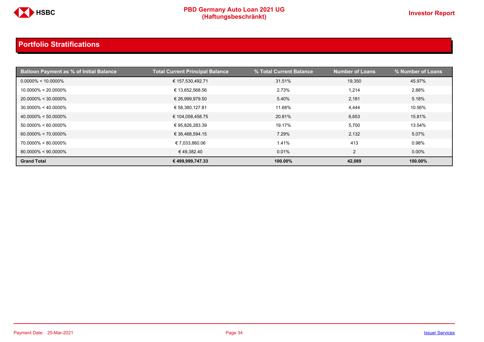

| <b>Balloon Payment as % of Initial Balance</b> | <b>Total Current Principal Balance</b> | % Total Current Balance | <b>Number of Loans</b> | % Number of Loans |
|------------------------------------------------|----------------------------------------|-------------------------|------------------------|-------------------|
| $0.0000\% < 10.0000\%$                         | € 157,530,492.71                       | 31.51%                  | 19,350                 | 45.97%            |
| $10.0000\% < 20.0000\%$                        | € 13,652,568.56                        | 2.73%                   | 1,214                  | 2.88%             |
| 20.0000% < 30.0000%                            | € 26,999,979.50                        | 5.40%                   | 2,181                  | 5.18%             |
| $30.0000\% < 40.0000\%$                        | € 58,380,127.81                        | 11.68%                  | 4,444                  | 10.56%            |
| $40.0000\% < 50.0000\%$                        | € 104,058,458.75                       | 20.81%                  | 6,653                  | 15.81%            |
| $50.0000\% < 60.0000\%$                        | € 95,826,283.39                        | 19.17%                  | 5,700                  | 13.54%            |
| $60.0000\% < 70.0000\%$                        | € 36,468,594.15                        | 7.29%                   | 2,132                  | 5.07%             |
| 70.0000% < 80.0000%                            | € 7,033,860.06                         | 1.41%                   | 413                    | 0.98%             |
| $80.0000\% < 90.0000\%$                        | €49,382.40                             | 0.01%                   | 2                      | $0.00\%$          |
| <b>Grand Total</b>                             | € 499,999,747.33                       | 100.00%                 | 42.089                 | 100.00%           |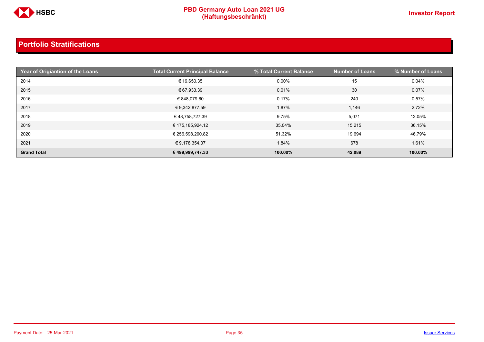

| Year of Origiantion of the Loans | <b>Total Current Principal Balance</b> | % Total Current Balance | <b>Number of Loans</b> | % Number of Loans |
|----------------------------------|----------------------------------------|-------------------------|------------------------|-------------------|
| 2014                             | € 19,650.35                            | $0.00\%$                | 15                     | 0.04%             |
| 2015                             | € 67,933.39                            | 0.01%                   | 30                     | 0.07%             |
| 2016                             | € 848,079.60                           | 0.17%                   | 240                    | 0.57%             |
| 2017                             | € 9,342,877.59                         | 1.87%                   | 1,146                  | 2.72%             |
| 2018                             | € 48,758,727.39                        | 9.75%                   | 5,071                  | 12.05%            |
| 2019                             | € 175,185,924.12                       | 35.04%                  | 15,215                 | 36.15%            |
| 2020                             | € 256,598,200.82                       | 51.32%                  | 19.694                 | 46.79%            |
| 2021                             | € 9,178,354.07                         | 1.84%                   | 678                    | 1.61%             |
| <b>Grand Total</b>               | € 499,999,747.33                       | 100.00%                 | 42,089                 | 100.00%           |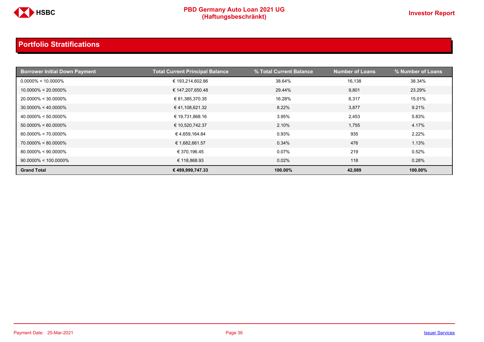

| <b>Borrower Initial Down Payment</b> | <b>Total Current Principal Balance</b> | % Total Current Balance | <b>Number of Loans</b> | % Number of Loans |
|--------------------------------------|----------------------------------------|-------------------------|------------------------|-------------------|
| $0.0000\% < 10.0000\%$               | € 193,214,602.86                       | 38.64%                  | 16,138                 | 38.34%            |
| $10.0000\% < 20.0000\%$              | € 147,207,650.48                       | 29.44%                  | 9,801                  | 23.29%            |
| $20.0000\% < 30.0000\%$              | € 81,385,370.35                        | 16.28%                  | 6,317                  | 15.01%            |
| $30.0000\% < 40.0000\%$              | €41,108,621.32                         | 8.22%                   | 3,877                  | 9.21%             |
| $40.0000\% < 50.0000\%$              | € 19,731,868.16                        | 3.95%                   | 2,453                  | 5.83%             |
| $50.0000\% < 60.0000\%$              | € 10,520,742.37                        | 2.10%                   | 1,755                  | 4.17%             |
| $60.0000\% < 70.0000\%$              | € 4,659,164.84                         | 0.93%                   | 935                    | 2.22%             |
| $70.0000\% < 80.0000\%$              | € 1,682,661.57                         | 0.34%                   | 476                    | 1.13%             |
| $80.0000\% < 90.0000\%$              | € 370,196.45                           | 0.07%                   | 219                    | 0.52%             |
| $90.0000\% < 100.0000\%$             | € 118,868.93                           | 0.02%                   | 118                    | 0.28%             |
| <b>Grand Total</b>                   | € 499,999,747.33                       | 100.00%                 | 42,089                 | 100.00%           |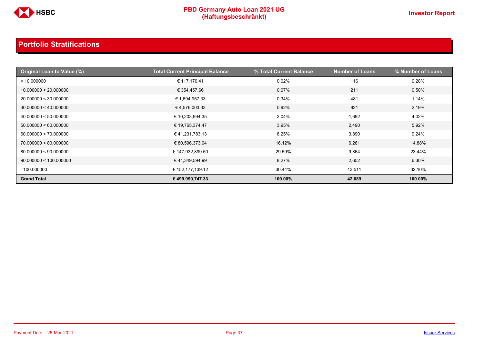

| Original Loan to Value (%) | <b>Total Current Principal Balance</b> | % Total Current Balance | <b>Number of Loans</b> | % Number of Loans |
|----------------------------|----------------------------------------|-------------------------|------------------------|-------------------|
| < 10.000000                | € 117,170.41                           | 0.02%                   | 116                    | 0.28%             |
| 10.000000 < 20.000000      | € 354,457.66                           | $0.07\%$                | 211                    | 0.50%             |
| 20.000000 < 30.000000      | € 1,694,957.33                         | 0.34%                   | 481                    | 1.14%             |
| 30.000000 < 40.000000      | €4,576,003.33                          | 0.92%                   | 921                    | 2.19%             |
| 40.000000 < 50.000000      | € 10,203,994.35                        | 2.04%                   | 1,692                  | 4.02%             |
| 50.000000 < 60.000000      | € 19,765,374.47                        | 3.95%                   | 2,490                  | 5.92%             |
| 60.000000 < 70.000000      | € 41,231,783.13                        | 8.25%                   | 3,890                  | 9.24%             |
| 70.000000 < 80.000000      | € 80,596,373.04                        | 16.12%                  | 6,261                  | 14.88%            |
| 80.000000 < 90.000000      | € 147,932,899.50                       | 29.59%                  | 9,864                  | 23.44%            |
| 90.000000 < 100.000000     | € 41,349,594.99                        | 8.27%                   | 2,652                  | 6.30%             |
| $=100.000000$              | € 152,177,139.12                       | 30.44%                  | 13,511                 | 32.10%            |
| <b>Grand Total</b>         | € 499,999,747.33                       | 100.00%                 | 42,089                 | 100.00%           |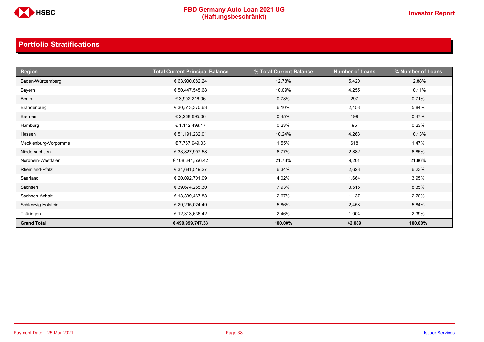

| <b>Region</b>        | <b>Total Current Principal Balance</b> | % Total Current Balance | <b>Number of Loans</b> | % Number of Loans |
|----------------------|----------------------------------------|-------------------------|------------------------|-------------------|
| Baden-Württemberg    | € 63,900,082.24                        | 12.78%                  | 5,420                  | 12.88%            |
| Bayern               | € 50,447,545.68                        | 10.09%                  | 4,255                  | 10.11%            |
| Berlin               | € 3,902,216.06                         | 0.78%                   | 297                    | 0.71%             |
| Brandenburg          | € 30,513,370.63                        | 6.10%                   | 2,458                  | 5.84%             |
| Bremen               | € 2,268,695.06                         | 0.45%                   | 199                    | 0.47%             |
| Hamburg              | € 1,142,498.17                         | 0.23%                   | 95                     | 0.23%             |
| Hessen               | € 51,191,232.01                        | 10.24%                  | 4,263                  | 10.13%            |
| Mecklenburg-Vorpomme | € 7,767,949.03                         | 1.55%                   | 618                    | 1.47%             |
| Niedersachsen        | € 33,827,997.58                        | 6.77%                   | 2,882                  | 6.85%             |
| Nordhein-Westfalen   | € 108,641,556.42                       | 21.73%                  | 9,201                  | 21.86%            |
| Rheinland-Pfalz      | € 31,681,519.27                        | 6.34%                   | 2,623                  | 6.23%             |
| Saarland             | € 20,092,701.09                        | 4.02%                   | 1,664                  | 3.95%             |
| Sachsen              | € 39,674,255.30                        | 7.93%                   | 3,515                  | 8.35%             |
| Sachsen-Anhalt       | € 13,339,467.88                        | 2.67%                   | 1,137                  | 2.70%             |
| Schleswig Holstein   | € 29,295,024.49                        | 5.86%                   | 2,458                  | 5.84%             |
| Thüringen            | € 12,313,636.42                        | 2.46%                   | 1,004                  | 2.39%             |
| <b>Grand Total</b>   | € 499,999,747.33                       | 100.00%                 | 42,089                 | 100.00%           |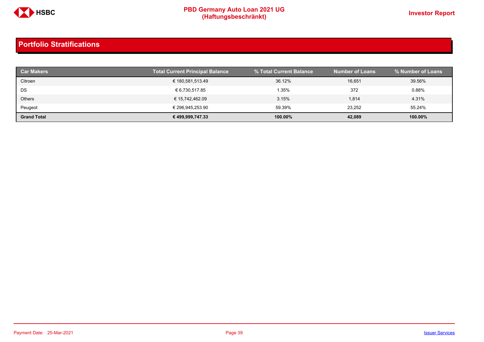

| <b>Car Makers</b>  | <b>Total Current Principal Balance</b> | % Total Current Balance | <b>Number of Loans</b> | % Number of Loans |
|--------------------|----------------------------------------|-------------------------|------------------------|-------------------|
| Citroen            | € 180,581,513.49                       | 36.12%                  | 16,651                 | 39.56%            |
| DS                 | € 6,730,517.85                         | 1.35%                   | 372                    | 0.88%             |
| <b>Others</b>      | € 15,742,462.09                        | 3.15%                   | 1,814                  | 4.31%             |
| Peugeot            | € 296,945,253.90                       | 59.39%                  | 23,252                 | 55.24%            |
| <b>Grand Total</b> | € 499,999,747.33                       | 100.00%                 | 42,089                 | 100.00%           |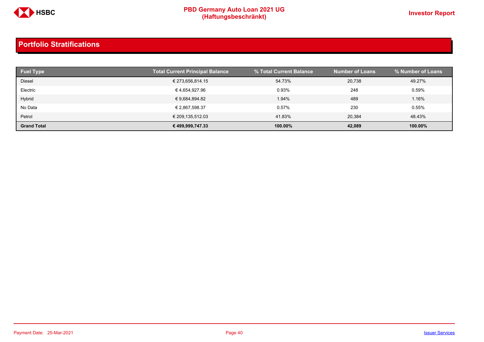

| <b>Fuel Type</b>   | <b>Total Current Principal Balance</b> | % Total Current Balance | <b>Number of Loans</b> | % Number of Loans |
|--------------------|----------------------------------------|-------------------------|------------------------|-------------------|
| <b>Diesel</b>      | € 273,656,814.15                       | 54.73%                  | 20.738                 | 49.27%            |
| Electric           | € 4,654,927.96                         | 0.93%                   | 248                    | 0.59%             |
| Hybrid             | € 9,684,894.82                         | 1.94%                   | 489                    | 1.16%             |
| No Data            | € 2,867,598.37                         | 0.57%                   | 230                    | 0.55%             |
| Petrol             | € 209,135,512.03                       | 41.83%                  | 20.384                 | 48.43%            |
| <b>Grand Total</b> | € 499,999,747.33                       | 100.00%                 | 42,089                 | 100.00%           |